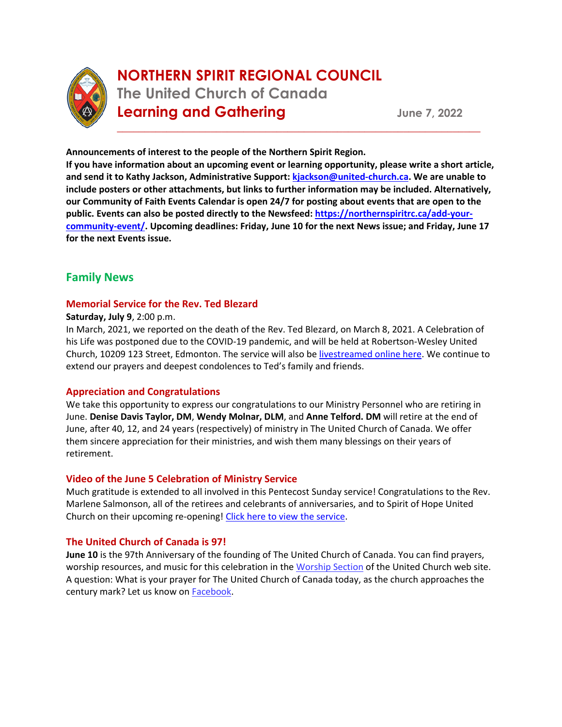

# **NORTHERN SPIRIT REGIONAL COUNCIL The United Church of Canada Learning and Gathering <b>Cancel** Sume 7, 2022

**Announcements of interest to the people of the Northern Spirit Region.** 

**If you have information about an upcoming event or learning opportunity, please write a short article, and send it to Kathy Jackson, Administrative Support[: kjackson@united-church.ca.](mailto:kjackson@united-church.ca) We are unable to include posters or other attachments, but links to further information may be included. Alternatively, our Community of Faith Events Calendar is open 24/7 for posting about events that are open to the public. Events can also be posted directly to the Newsfeed: [https://northernspiritrc.ca/add-your](https://northernspiritrc.ca/add-your-community-event/)[community-event/.](https://northernspiritrc.ca/add-your-community-event/) Upcoming deadlines: Friday, June 10 for the next News issue; and Friday, June 17 for the next Events issue.**

\_\_\_\_\_\_\_\_\_\_\_\_\_\_\_\_\_\_\_\_\_\_\_\_\_\_\_\_\_\_\_\_\_\_\_\_\_\_\_\_\_\_\_\_\_\_\_\_\_\_\_\_\_\_\_\_\_\_\_\_\_\_\_\_\_\_

# **Family News**

# **Memorial Service for the Rev. Ted Blezard**

# **Saturday, July 9**, 2:00 p.m.

In March, 2021, we reported on the death of the Rev. Ted Blezard, on March 8, 2021. A Celebration of his Life was postponed due to the COVID-19 pandemic, and will be held at Robertson-Wesley United Church, 10209 123 Street, Edmonton. The service will also be [livestreamed online here.](https://www.rwuc.org/live/) We continue to extend our prayers and deepest condolences to Ted's family and friends.

# **Appreciation and Congratulations**

We take this opportunity to express our congratulations to our Ministry Personnel who are retiring in June. **Denise Davis Taylor, DM**, **Wendy Molnar, DLM**, and **Anne Telford. DM** will retire at the end of June, after 40, 12, and 24 years (respectively) of ministry in The United Church of Canada. We offer them sincere appreciation for their ministries, and wish them many blessings on their years of retirement.

# **Video of the June 5 Celebration of Ministry Service**

Much gratitude is extended to all involved in this Pentecost Sunday service! Congratulations to the Rev. Marlene Salmonson, all of the retirees and celebrants of anniversaries, and to Spirit of Hope United Church on their upcoming re-opening! [Click here to view the service.](https://youtu.be/PMOKXwV3sLQ)

# **The United Church of Canada is 97!**

**June 10** is the 97th Anniversary of the founding of The United Church of Canada. You can find prayers, worship resources, and music for this celebration in th[e Worship Section](https://united-church.ca/worship-special-days/union-sunday) of the United Church web site. A question: What is your prayer for The United Church of Canada today, as the church approaches the century mark? Let us know on [Facebook.](https://www.facebook.com/UnitedChurchCda/photos/a.370500632974991/1265109856847393?utm_source=E-Newsletters&utm_campaign=0bd6595c51-ES220607&utm_medium=email&utm_term=0_53a49c9e28-0bd6595c51-188902357&goal=0_53a49c9e28-0bd6595c51-188902357&mc_cid=0bd6595c51&mc_eid=e22d4838ae)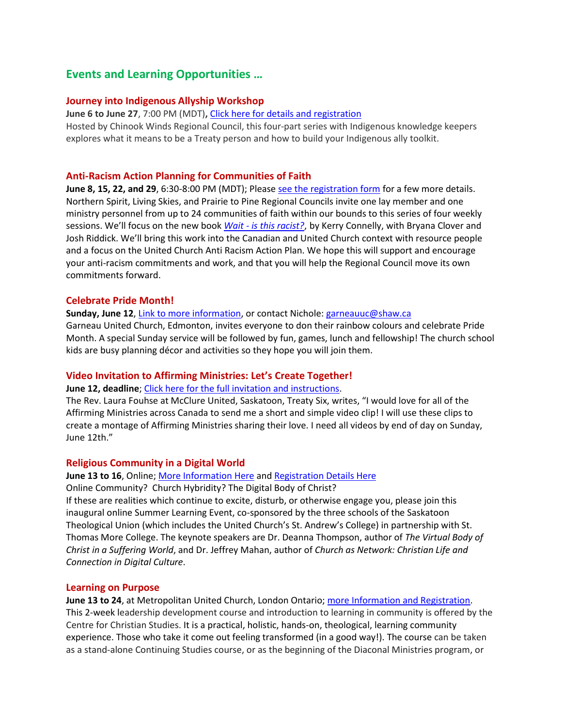# **Events and Learning Opportunities …**

### **Journey into Indigenous Allyship Workshop**

**June 6 to June 27**, 7:00 PM (MDT)**,** [Click here for details and registration](https://chinookwindsregion.ca/2022/05/25/journey-into-indigenous-allyship-workshop/) Hosted by Chinook Winds Regional Council, this four-part series with Indigenous knowledge keepers explores what it means to be a Treaty person and how to build your Indigenous ally toolkit.

### **Anti-Racism Action Planning for Communities of Faith**

**June 8, 15, 22, and 29**, 6:30-8:00 PM (MDT); Please [see the registration form](https://form.jotform.com/221155752268053) for a few more details. Northern Spirit, Living Skies, and Prairie to Pine Regional Councils invite one lay member and one ministry personnel from up to 24 communities of faith within our bounds to this series of four weekly sessions. We'll focus on the new book *Wait - [is this racist?](https://www.wjkbooks.com/Products/0664267505/wait--is-this-racist.aspx)*, by Kerry Connelly, with Bryana Clover and Josh Riddick. We'll bring this work into the Canadian and United Church context with resource people and a focus on the United Church Anti Racism Action Plan. We hope this will support and encourage your anti-racism commitments and work, and that you will help the Regional Council move its own commitments forward.

### **Celebrate Pride Month!**

**Sunday, June 12**[, Link to more information,](https://fc.churchwebcanada.ca/garneau) or contact Nichole: [garneauuc@shaw.ca](mailto:garneauuc@shaw.ca) Garneau United Church, Edmonton, invites everyone to don their rainbow colours and celebrate Pride Month. A special Sunday service will be followed by fun, games, lunch and fellowship! The church school kids are busy planning décor and activities so they hope you will join them.

# **Video Invitation to Affirming Ministries: Let's Create Together!**

#### **June 12, deadline**; [Click here for the full invitation and instructions.](https://northernspiritrc.ca/video-invitation-to-affirming-ministries-lets-create-together/)

The Rev. Laura Fouhse at McClure United, Saskatoon, Treaty Six, writes, "I would love for all of the Affirming Ministries across Canada to send me a short and simple video clip! I will use these clips to create a montage of Affirming Ministries sharing their love. I need all videos by end of day on Sunday, June 12th."

#### **Religious Community in a Digital World**

**June 13 to 16**, Online[; More Information Here](https://standrews.ca/current-students/rejunevation/) and [Registration Details Here](https://forms.gle/AtMMfT9BJGkuyVDe8) Online Community? Church Hybridity? The Digital Body of Christ? If these are realities which continue to excite, disturb, or otherwise engage you, please join this inaugural online Summer Learning Event, co-sponsored by the three schools of the Saskatoon Theological Union (which includes the United Church's St. Andrew's College) in partnership with St. Thomas More College. The keynote speakers are Dr. Deanna Thompson, author of *The Virtual Body of Christ in a Suffering World*, and Dr. Jeffrey Mahan, author of *Church as Network: Christian Life and Connection in Digital Culture*.

#### **Learning on Purpose**

**June 13 to 24**, at Metropolitan United Church, London Ontario[; more Information and Registration.](https://unitedchurch-my.sharepoint.com/personal/kjackson_united-church_ca/Documents/Communication/ENewsletters/csonline.ca/program/leadership-development/) This 2-week leadership development course and introduction to learning in community is offered by the Centre for Christian Studies. It is a practical, holistic, hands-on, theological, learning community experience. Those who take it come out feeling transformed (in a good way!). The course can be taken as a stand-alone Continuing Studies course, or as the beginning of the Diaconal Ministries program, or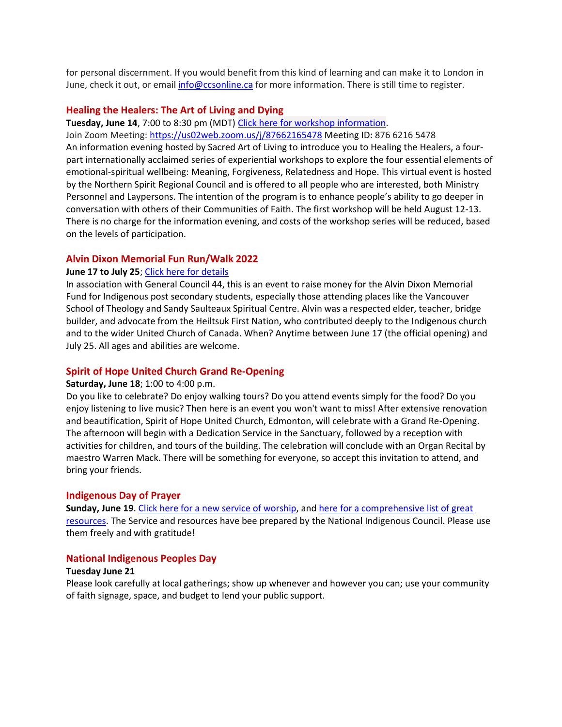for personal discernment. If you would benefit from this kind of learning and can make it to London in June, check it out, or email [info@ccsonline.ca](mailto:info@ccsonline.ca) for more information. There is still time to register.

#### **Healing the Healers: The Art of Living and Dying**

**Tuesday, June 14**, 7:00 to 8:30 pm (MDT) [Click here for workshop information.](https://northernspiritrc.ca/wp-content/uploads/2022/06/Healing-the-Healers-Workshop-Proposal.pdf)

Join Zoom Meeting: [https://us02web.zoom.us/j/87662165478](https://can01.safelinks.protection.outlook.com/?url=https%3A%2F%2Fwww.google.com%2Furl%3Fq%3Dhttps%253A%252F%252Fus02web.zoom.us%252Fj%252F87662165478%26sa%3DD%26ust%3D1654982481197000%26usg%3DAOvVaw1d_LZsGOQ0G-eljQpLlaYX&data=05%7C01%7Ckjackson%40united-church.ca%7Cec9a6f84401d4b5ec92108da48c70b4e%7Ccf18b5a826784011931215f0f7157574%7C0%7C0%7C637902317002210050%7CUnknown%7CTWFpbGZsb3d8eyJWIjoiMC4wLjAwMDAiLCJQIjoiV2luMzIiLCJBTiI6Ik1haWwiLCJXVCI6Mn0%3D%7C3000%7C%7C%7C&sdata=8xAyigqrjCVLb188HfqfAhvlLSX%2F8NtezuO0T1UM3d4%3D&reserved=0) Meeting ID: 876 6216 5478 An information evening hosted by Sacred Art of Living to introduce you to Healing the Healers, a fourpart internationally acclaimed series of experiential workshops to explore the four essential elements of emotional-spiritual wellbeing: Meaning, Forgiveness, Relatedness and Hope. This virtual event is hosted by the Northern Spirit Regional Council and is offered to all people who are interested, both Ministry Personnel and Laypersons. The intention of the program is to enhance people's ability to go deeper in conversation with others of their Communities of Faith. The first workshop will be held August 12-13. There is no charge for the information evening, and costs of the workshop series will be reduced, based on the levels of participation.

#### **Alvin Dixon Memorial Fun Run/Walk 2022**

#### **June 17 to July 25**; [Click here for details](https://generalcouncil44.ca/news/alvin-dixon-memorial-runwalk)

In association with General Council 44, this is an event to raise money for the Alvin Dixon Memorial Fund for Indigenous post secondary students, especially those attending places like the Vancouver School of Theology and Sandy Saulteaux Spiritual Centre. Alvin was a respected elder, teacher, bridge builder, and advocate from the Heiltsuk First Nation, who contributed deeply to the Indigenous church and to the wider United Church of Canada. When? Anytime between June 17 (the official opening) and July 25. All ages and abilities are welcome.

#### **Spirit of Hope United Church Grand Re-Opening**

#### **Saturday, June 18**; 1:00 to 4:00 p.m.

Do you like to celebrate? Do enjoy walking tours? Do you attend events simply for the food? Do you enjoy listening to live music? Then here is an event you won't want to miss! After extensive renovation and beautification, Spirit of Hope United Church, Edmonton, will celebrate with a Grand Re-Opening. The afternoon will begin with a Dedication Service in the Sanctuary, followed by a reception with activities for children, and tours of the building. The celebration will conclude with an Organ Recital by maestro Warren Mack. There will be something for everyone, so accept this invitation to attend, and bring your friends.

#### **Indigenous Day of Prayer**

**Sunday, June 19**. [Click here for a new service of worship,](https://united-church.ca/sites/default/files/2022-05/2022_all-my-relations_Indigenous-service.pdf) an[d here for a comprehensive list of great](https://united-church.ca/worship-special-days/indigenous-day-prayer)  [resources.](https://united-church.ca/worship-special-days/indigenous-day-prayer) The Service and resources have bee prepared by the National Indigenous Council. Please use them freely and with gratitude!

#### **National Indigenous Peoples Day**

#### **Tuesday June 21**

Please look carefully at local gatherings; show up whenever and however you can; use your community of faith signage, space, and budget to lend your public support.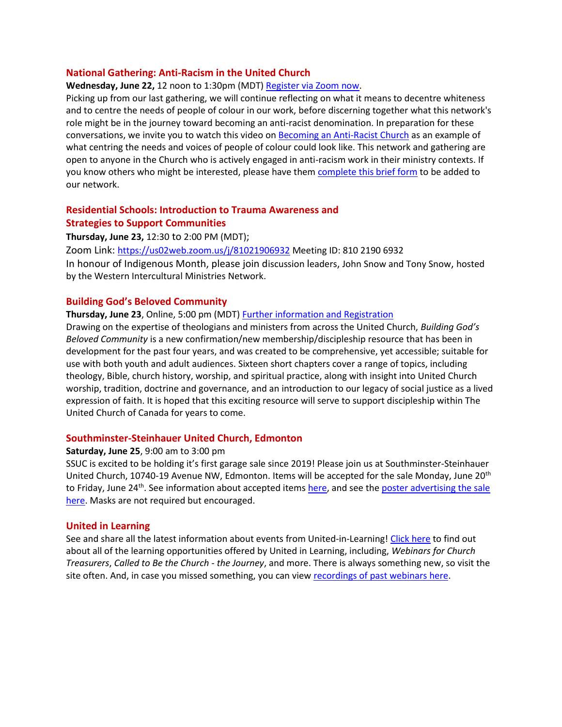#### **National Gathering: Anti-Racism in the United Church**

**Wednesday, June 22,** 12 noon to 1:30pm (MDT) [Register via Zoom now.](https://united-church.zoom.us/meeting/register/tZEtf--rrDojE9B38RPXDbaRrM5MTtFqmYkr)

Picking up from our last gathering, we will continue reflecting on what it means to decentre whiteness and to centre the needs of people of colour in our work, before discerning together what this network's role might be in the journey toward becoming an anti-racist denomination. In preparation for these conversations, we invite you to watch this video on [Becoming an Anti-Racist Church](https://www.youtube.com/watch?app=desktop&v=lPjGsm1KP14) as an example of what centring the needs and voices of people of colour could look like. This network and gathering are open to anyone in the Church who is actively engaged in anti-racism work in their ministry contexts. If you know others who might be interested, please have them [complete this brief form](https://forms.office.com/r/BKwwFgJ8m5) to be added to our network.

# **Residential Schools: Introduction to Trauma Awareness and Strategies to Support Communities**

**Thursday, June 23,** 12:30 to 2:00 PM (MDT);

Zoom Link: [https://us02web.zoom.us/j/81021906932](https://can01.safelinks.protection.outlook.com/?url=https%3A%2F%2Fus02web.zoom.us%2Fj%2F81021906932&data=05%7C01%7CJGraham%40united-church.ca%7Ce9d26dc6a82346cf1f5c08da482213d9%7Ccf18b5a826784011931215f0f7157574%7C0%7C0%7C637901608447672174%7CUnknown%7CTWFpbGZsb3d8eyJWIjoiMC4wLjAwMDAiLCJQIjoiV2luMzIiLCJBTiI6Ik1haWwiLCJXVCI6Mn0%3D%7C3000%7C%7C%7C&sdata=XKbAnID0tD%2BWFT7BN6bndnxtKqi%2BL0XjcokmmGnGsxI%3D&reserved=0) Meeting ID: 810 2190 6932

In honour of Indigenous Month, please join discussion leaders, John Snow and Tony Snow, hosted by the Western Intercultural Ministries Network.

#### **Building God's Beloved Community**

#### **Thursday, June 23**, Online, 5:00 pm (MDT) [Further information and Registration](https://www.united-in-learning.com/index.php/webinars/449-building-god-s-beloved-community-book-launch)

Drawing on the expertise of theologians and ministers from across the United Church, *Building God's Beloved Community* is a new confirmation/new membership/discipleship resource that has been in development for the past four years, and was created to be comprehensive, yet accessible; suitable for use with both youth and adult audiences. Sixteen short chapters cover a range of topics, including theology, Bible, church history, worship, and spiritual practice, along with insight into United Church worship, tradition, doctrine and governance, and an introduction to our legacy of social justice as a lived expression of faith. It is hoped that this exciting resource will serve to support discipleship within The United Church of Canada for years to come.

#### **Southminster-Steinhauer United Church, Edmonton**

#### **Saturday, June 25**, 9:00 am to 3:00 pm

SSUC is excited to be holding it's first garage sale since 2019! Please join us at Southminster-Steinhauer United Church, 10740-19 Avenue NW, Edmonton. Items will be accepted for the sale Monday, June 20<sup>th</sup> to Friday, June 24<sup>th</sup>. See information about accepted item[s here,](https://ssucedmonton.com/garage-sale-2022) and see the poster advertising the sale [here.](https://ssucedmonton.com/wp-content/uploads/2022/06/garage-sale-2022.pdf) Masks are not required but encouraged.

#### **United in Learning**

See and share all the latest information about events from United-in-Learning! [Click here](https://www.united-in-learning.com/index.php/webinars/upcoming-webinars) to find out about all of the learning opportunities offered by United in Learning, including, *Webinars for Church Treasurers*, *Called to Be the Church - the Journey*, and more. There is always something new, so visit the site often. And, in case you missed something, you can view [recordings of past webinars here.](https://www.united-in-learning.com/index.php/webinars/recordings/all-programs)